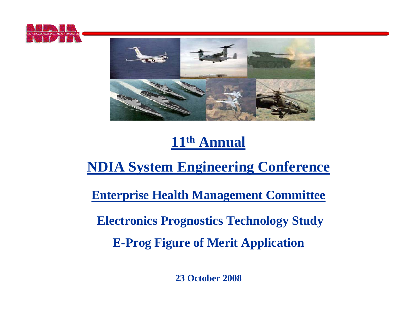



# **11th Annual**

# **NDIA System Engineering Conference**

**Enterprise Health Management Committee**

**Electronics Prognostics Technology Study** 

**E-Prog Figure of Merit Application**

**23 October 2008**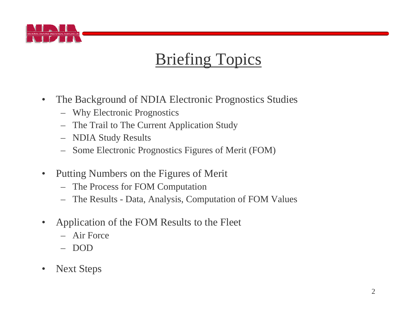

# Briefing Topics

- $\bullet$  The Background of NDIA Electronic Prognostics Studies
	- Why Electronic Prognostics
	- The Trail to The Current Application Study
	- NDIA Study Results
	- Some Electronic Prognostics Figures of Merit (FOM)
- $\bullet$  Putting Numbers on the Figures of Merit
	- The Process for FOM Computation
	- The Results Data, Analysis, Computation of FOM Values
- $\bullet$  Application of the FOM Results to the Fleet
	- Air Force
	- DOD
- $\bullet$ Next Steps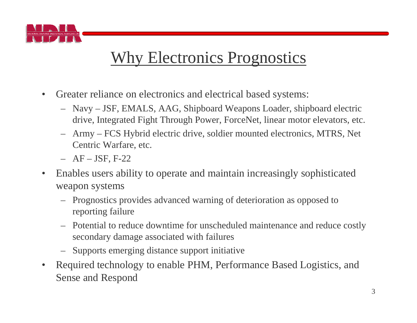

# Why Electronics Prognostics

- $\bullet$  Greater reliance on electronics and electrical based systems:
	- Navy JSF, EMALS, AAG, Shipboard Weapons Loader, shipboard electric drive, Integrated Fight Through Power, ForceNet, linear motor elevators, etc.
	- Army FCS Hybrid electric drive, soldier mounted electronics, MTRS, Net Centric Warfare, etc.
	- AF JSF, F-22
- $\bullet$  Enables users ability to operate and maintain increasingly sophisticated weapon systems
	- Prognostics provides advanced warning of deterioration as opposed to reporting failure
	- Potential to reduce downtime for unscheduled maintenance and reduce costly secondary damage associated with failures
	- Supports emerging distance support initiative
- $\bullet$  Required technology to enable PHM, Performance Based Logistics, and Sense and Respond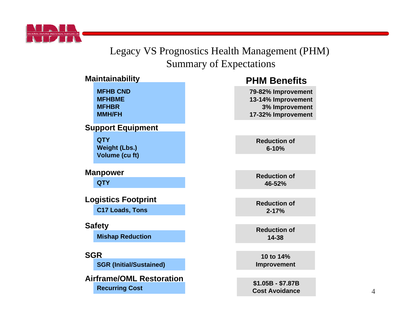

#### Legacy VS Prognostics Health Management (PHM) Summary of Expectations

**3% Improvement**

**46-52%**

**6-10%**

**2-17%**

**14-38**

**10 to 14%** 

#### **MFHB CNDMFHBMEMFHBRMMH/FHMaintainability QTYMishap Reduction QTYWeight (Lbs.) Volume (cu ft) Support Equipment Manpower C17 Loads, Tons Logistics Footprint Safety SGRSGR (Initial/Sustained) PHM BenefitsAirframe/OML RestorationRecurring Cost 79-82% Improvement 13-14% Improvement 17-32% Improvement Reduction of Reduction of Reduction of Reduction of \$1.05B - \$7.87B Cost AvoidanceImprovement**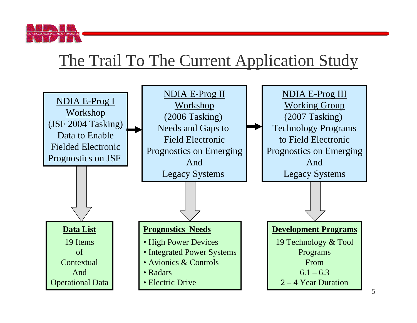

# The Trail To The Current Application Study



5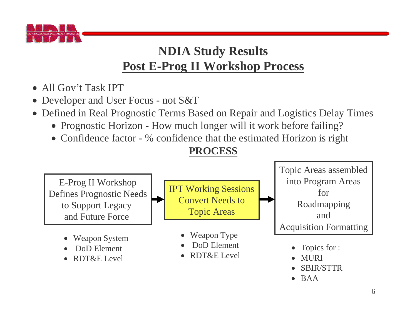

# **NDIA Study Results Post E-Prog II Workshop Process**

- All Gov't Task IPT
- Developer and User Focus not S&T
- Defined in Real Prognostic Terms Based on Repair and Logistics Delay Times
	- Prognostic Horizon How much longer will it work before failing?
	- Confidence factor % confidence that the estimated Horizon is right

#### **PROCESS**

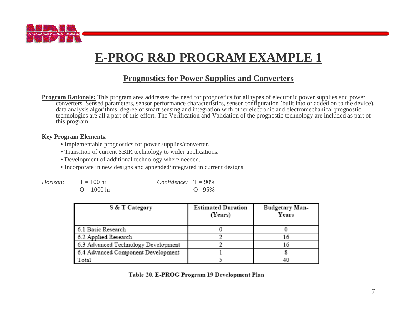

# **E-PROG R&D PROGRAM EXAMPLE 1**

#### **Prognostics for Power Supplies and Converters**

**Program Rationale:** This program area addresses the need for prognostics for all types of electronic power supplies and power converters. Sensed parameters, sensor performance characteristics, sensor configuration (built into or added on to the device), data analysis algorithms, degree of smart sensing and integration with other electronic and electromechanical prognostic technologies are all a part of this effort. The Verification and Validation of the prognostic technology are included as part of this program.

#### **Key Program Elements***:*

- Implementable prognostics for power supplies/converter.
- Transition of current SBIR technology to wider applications.
- Development of additional technology where needed.
- Incorporate in new designs and appended/integrated in current designs

| Horizon: | $T = 100$ hr  | <i>Confidence</i> : $T = 90\%$ |            |
|----------|---------------|--------------------------------|------------|
|          | $Q = 1000$ hr |                                | $Q = 95\%$ |

| S & T Category                      | <b>Estimated Duration</b><br>(Years) | Budgetary Man-<br>Years |
|-------------------------------------|--------------------------------------|-------------------------|
| 6.1 Basic Research                  |                                      |                         |
| 6.2 Applied Research                |                                      | 16                      |
| 6.3 Advanced Technology Development |                                      | 16                      |
| 6.4 Advanced Component Development  |                                      |                         |
| Total                               |                                      |                         |

Table 20. E-PROG Program 19 Development Plan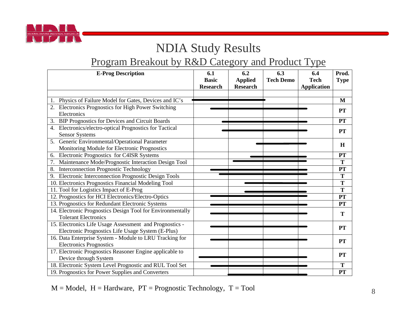

# NDIA Study Results

### Program Breakout by R&D Category and Product Type

| <b>E-Prog Description</b>                                                                                    | 6.1<br><b>Basic</b><br><b>Research</b> | 6.2<br><b>Applied</b><br><b>Research</b> | 6.3<br><b>Tech Demo</b> | 6.4<br><b>Tech</b><br><b>Application</b> | Prod.<br><b>Type</b> |
|--------------------------------------------------------------------------------------------------------------|----------------------------------------|------------------------------------------|-------------------------|------------------------------------------|----------------------|
|                                                                                                              |                                        |                                          |                         |                                          |                      |
| 1. Physics of Failure Model for Gates, Devices and IC's                                                      |                                        |                                          |                         |                                          | M                    |
| Electronics Prognostics for High Power Switching<br>Electronics                                              |                                        |                                          |                         |                                          | PT                   |
| <b>BIP Prognostics for Devices and Circuit Boards</b><br>3.                                                  |                                        |                                          |                         |                                          | <b>PT</b>            |
| 4. Electronics/electro-optical Prognostics for Tactical<br><b>Sensor Systems</b>                             |                                        |                                          |                         |                                          | <b>PT</b>            |
| 5. Generic Environmental/Operational Parameter<br>Monitoring Module for Electronic Prognostics               |                                        |                                          |                         |                                          | H                    |
| Electronic Prognostics for C4ISR Systems<br>6.                                                               |                                        |                                          |                         |                                          | PT                   |
| Maintenance Mode/Prognostic Interaction Design Tool                                                          |                                        |                                          |                         |                                          | T                    |
| <b>Interconnection Prognostic Technology</b><br>8.                                                           |                                        |                                          |                         |                                          | PT                   |
| Electronic Interconnection Prognostic Design Tools<br>9.                                                     |                                        |                                          |                         |                                          | T                    |
| 10. Electronics Prognostics Financial Modeling Tool                                                          |                                        |                                          |                         |                                          | T                    |
| 11. Tool for Logistics Impact of E-Prog                                                                      |                                        |                                          |                         |                                          | T                    |
| 12. Prognostics for HCI Electronics/Electro-Optics                                                           |                                        |                                          |                         |                                          | <b>PT</b>            |
| 13. Prognostics for Redundant Electronic Systems                                                             |                                        |                                          |                         |                                          | <b>PT</b>            |
| 14. Electronic Prognostics Design Tool for Environmentally<br><b>Tolerant Electronics</b>                    |                                        |                                          |                         |                                          | T                    |
| 15. Electronics Life Usage Assessment and Prognostics -<br>Electronic Prognostics Life Usage System (E-Plus) |                                        |                                          |                         |                                          | <b>PT</b>            |
| 16. Data Enterprise System - Module to LRU Tracking for<br><b>Electronics Prognostics</b>                    |                                        |                                          |                         |                                          | <b>PT</b>            |
| 17. Electronic Prognostics Reasoner Engine applicable to<br>Device through System                            |                                        |                                          |                         |                                          | <b>PT</b>            |
| 18. Electronic System Level Prognostic and RUL Tool Set                                                      |                                        |                                          |                         |                                          | T                    |
| 19. Prognostics for Power Supplies and Converters                                                            |                                        |                                          |                         |                                          | <b>PT</b>            |

 $M = Model$ ,  $H = Hardware$ ,  $PT = Propnostic Technology$ ,  $T = Tool$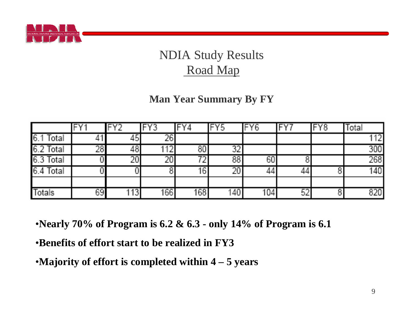

# NDIA Study Results Road Map

#### **Man Year Summary By FY**

|               | $\Box$ V 4 | FY <sub>2</sub> | FY3 |                 | FY5             | IFY6 | ΓV. | FY8 | <b>Total</b>     |
|---------------|------------|-----------------|-----|-----------------|-----------------|------|-----|-----|------------------|
| 6.1<br>Total  |            | 45              | 26  |                 |                 |      |     |     | 1121             |
| 6.2 Total     | 28         | 461             | ╹╹╧ | 80              | 73 T            |      |     |     | 300              |
| 6.3 Total     |            | 20 <sub>1</sub> |     |                 | 88              | 60   |     |     | 268              |
| 6.4 Total     |            |                 |     | 16 <sub>1</sub> | 20 <sub>1</sub> |      | 44  |     | 140 <sub>1</sub> |
|               |            |                 |     |                 |                 |      |     |     |                  |
| <b>Totals</b> | 69         | [13]            | 166 | 168             | 140             | 104  | 52  |     | 8201             |

•**Nearly 70% of Program is 6.2 & 6.3 - only 14% of Program is 6.1**

•**Benefits of effort start to be realized in FY3** 

•**Majority of effort is completed within 4 – 5 years**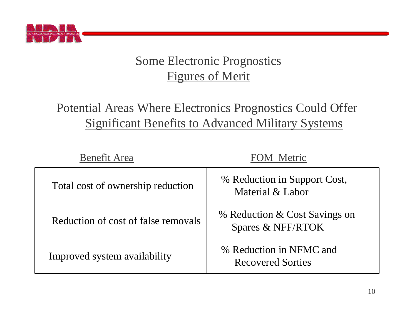

# Some Electronic Prognostics Figures of Merit

# Potential Areas Where Electronics Prognostics Could Offer Significant Benefits to Advanced Military Systems

| <b>Benefit Area</b>                 | <b>FOM Metric</b>                                   |
|-------------------------------------|-----------------------------------------------------|
| Total cost of ownership reduction   | % Reduction in Support Cost,<br>Material & Labor    |
| Reduction of cost of false removals | % Reduction & Cost Savings on<br>Spares & NFF/RTOK  |
| Improved system availability        | % Reduction in NFMC and<br><b>Recovered Sorties</b> |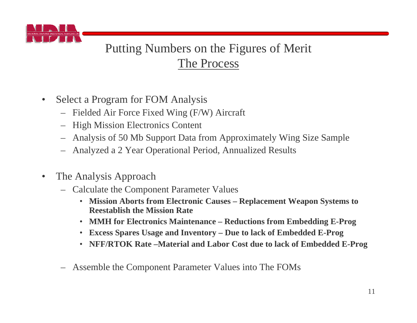

# Putting Numbers on the Figures of Merit The Process

- $\bullet$  Select a Program for FOM Analysis
	- Fielded Air Force Fixed Wing (F/W) Aircraft
	- High Mission Electronics Content
	- Analysis of 50 Mb Support Data from Approximately Wing Size Sample
	- Analyzed a 2 Year Operational Period, Annualized Results
- $\bullet$  The Analysis Approach
	- Calculate the Component Parameter Values
		- **Mission Aborts from Electronic Causes – Replacement Weapon Systems to Reestablish the Mission Rate**
		- **MMH for Electronics Maintenance – Reductions from Embedding E-Prog**
		- **Excess Spares Usage and Inventory – Due to lack of Embedded E-Prog**
		- **NFF/RTOK Rate –Material and Labor Cost due to lack of Embedded E-Prog**
	- Assemble the Component Parameter Values into The FOMs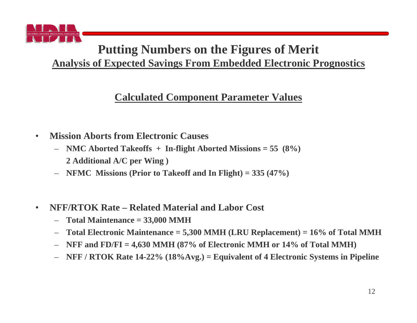

### **Putting Numbers on the Figures of Merit Analysis of Expected Savings From Embedded Electronic Prognostics**

#### **Calculated Component Parameter Values**

- • **Mission Aborts from Electronic Causes**
	- – **NMC Aborted Takeoffs + In-flight Aborted Missions = 55 (8%) 2 Additional A/C per Wing )**
	- **NFMC Missions (Prior to Takeoff and In Flight) = 335 (47%)**
- • **NFF/RTOK Rate – Related Material and Labor Cost**
	- –**Total Maintenance = 33,000 MMH**
	- –**Total Electronic Maintenance = 5,300 MMH (LRU Replacement) = 16% of Total MMH**
	- –**NFF and FD/FI = 4,630 MMH (87% of Electronic MMH or 14% of Total MMH)**
	- –**NFF / RTOK Rate 14-22% (18%Avg.) = Equivalent of 4 Electronic Systems in Pipeline**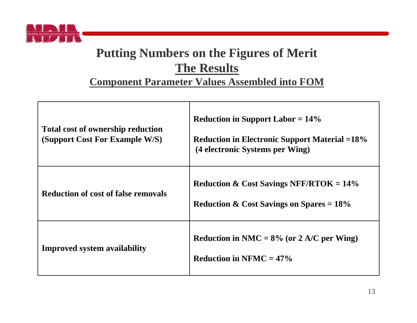

## **Putting Numbers on the Figures of Merit The Results**

#### **Component Parameter Values Assembled into FOM**

| <b>Total cost of ownership reduction</b><br>(Support Cost For Example W/S) | <b>Reduction in Support Labor = <math>14\%</math></b><br><b>Reduction in Electronic Support Material =18%</b><br>(4 electronic Systems per Wing) |
|----------------------------------------------------------------------------|--------------------------------------------------------------------------------------------------------------------------------------------------|
| <b>Reduction of cost of false removals</b>                                 | Reduction & Cost Savings NFF/RTOK = $14\%$<br>Reduction & Cost Savings on Spares = $18\%$                                                        |
| <b>Improved system availability</b>                                        | Reduction in NMC = $8\%$ (or 2 A/C per Wing)<br>Reduction in NFMC = $47\%$                                                                       |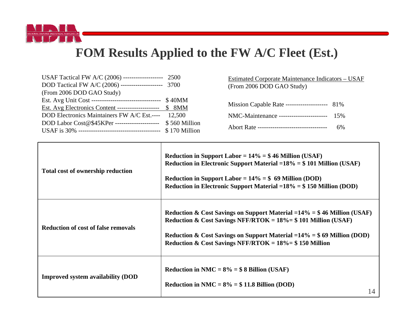

## **FOM Results Applied to the FW A/C Fleet (Est.)**

| USAF Tactical FW A/C (2006) ------------------- 2500          |               |
|---------------------------------------------------------------|---------------|
| DOD Tactical FW A/C (2006) -------------------- 3700          |               |
| (From 2006 DOD GAO Study)                                     |               |
| Est. Avg Unit Cost ----------------------------------- \$40MM |               |
| Est. Avg Electronics Content -------------------- \$ 8MM      |               |
| <b>DOD Electronics Maintainers FW A/C Est.----</b>            | 12,500        |
| DOD Labor Cost@\$45KPer ----------------------                | \$560 Million |
|                                                               | \$170 Million |

Estimated Corporate Maintenance Indicators – USAF (From 2006 DOD GAO Study)

| Mission Capable Rate -------------------- 81% |     |
|-----------------------------------------------|-----|
| NMC-Maintenance -----------------------       | 15% |
| Abort Rate ---------------------------------- | 6%  |

| <b>Total cost of ownership reduction</b>   | Reduction in Support Labor = $14\%$ = \$46 Million (USAF)<br>Reduction in Electronic Support Material = $18\%$ = \$101 Million (USAF)<br>Reduction in Support Labor = $14\%$ = \$ 69 Million (DOD)<br>Reduction in Electronic Support Material $=18\% = $150$ Million (DOD)                |
|--------------------------------------------|--------------------------------------------------------------------------------------------------------------------------------------------------------------------------------------------------------------------------------------------------------------------------------------------|
| <b>Reduction of cost of false removals</b> | Reduction & Cost Savings on Support Material = $14\%$ = \$46 Million (USAF)<br>Reduction & Cost Savings NFF/RTOK = $18\%$ = \$101 Million (USAF)<br>Reduction & Cost Savings on Support Material $=14\% = $69$ Million (DOD)<br>Reduction & Cost Savings NFF/RTOK = $18\%$ = \$150 Million |
| <b>Improved system availability (DOD</b>   | Reduction in NMC = $8\%$ = \$ 8 Billion (USAF)<br>Reduction in NMC = $8\%$ = \$11.8 Billion (DOD)<br>14                                                                                                                                                                                    |